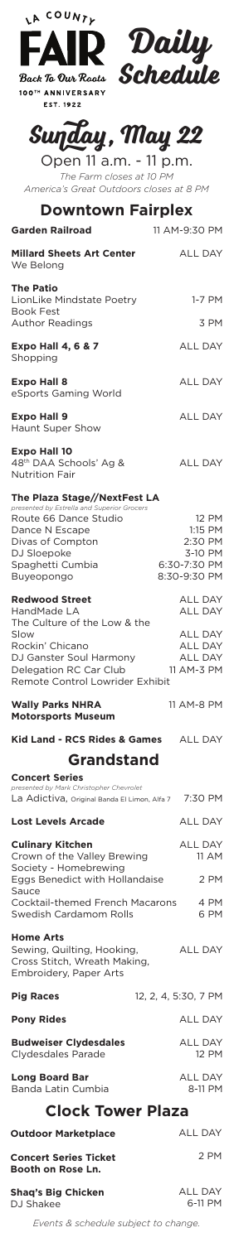| <b>FAIR Daily</b><br>Back To Our Roots <b>Schedule</b><br>Back To Our Roots<br>100TH ANNIVERSARY<br><b>EST. 1922</b>                                           |                                                                                    |
|----------------------------------------------------------------------------------------------------------------------------------------------------------------|------------------------------------------------------------------------------------|
| Sunday, May 22<br>Open 11 a.m. - 11 p.m.<br>The Farm closes at 10 PM<br>America's Great Outdoors closes at 8 PM                                                |                                                                                    |
| <b>Downtown Fairplex</b><br><b>Garden Railroad</b>                                                                                                             | 11 AM-9:30 PM                                                                      |
| <b>Millard Sheets Art Center</b>                                                                                                                               | <b>ALL DAY</b>                                                                     |
| We Belong                                                                                                                                                      |                                                                                    |
| <b>The Patio</b><br>LionLike Mindstate Poetry<br><b>Book Fest</b><br><b>Author Readings</b>                                                                    | 1-7 PM<br>3 PM                                                                     |
| <b>Expo Hall 4, 6 &amp; 7</b>                                                                                                                                  | <b>ALL DAY</b>                                                                     |
| Shopping<br><b>Expo Hall 8</b>                                                                                                                                 | <b>ALL DAY</b>                                                                     |
| eSports Gaming World                                                                                                                                           |                                                                                    |
| <b>Expo Hall 9</b><br>Haunt Super Show                                                                                                                         | <b>ALL DAY</b>                                                                     |
| <b>Expo Hall 10</b><br>48 <sup>th</sup> DAA Schools' Ag &<br><b>Nutrition Fair</b>                                                                             | <b>ALL DAY</b>                                                                     |
| The Plaza Stage//NextFest LA<br>presented by Estrella and Superior Grocers                                                                                     |                                                                                    |
| Route 66 Dance Studio<br>Dance N Escape<br>Divas of Compton<br>DJ Sloepoke<br>Spaghetti Cumbia<br>Buyeopongo                                                   | <b>12 PM</b><br>1:15 PM<br>2:30 PM<br>3-10 PM<br>6:30-7:30 PM<br>8:30-9:30 PM      |
| <b>Redwood Street</b>                                                                                                                                          | <b>ALL DAY</b>                                                                     |
| HandMade LA<br>The Culture of the Low & the<br>Slow<br>Rockin' Chicano<br>DJ Ganster Soul Harmony<br>Delegation RC Car Club<br>Remote Control Lowrider Exhibit | <b>ALL DAY</b><br><b>ALL DAY</b><br><b>ALL DAY</b><br><b>ALL DAY</b><br>11 AM-3 PM |
| <b>Wally Parks NHRA</b><br><b>Motorsports Museum</b>                                                                                                           | 11 AM-8 PM                                                                         |
| <b>Kid Land - RCS Rides &amp; Games</b>                                                                                                                        | ALL DAY                                                                            |
| <b>Grandstand</b>                                                                                                                                              |                                                                                    |
| <b>Concert Series</b><br>presented by Mark Christopher Chevrolet<br>La Adictiva, Original Banda El Limon, Alfa 7                                               | 7:30 PM                                                                            |
| <b>Lost Levels Arcade</b>                                                                                                                                      | <b>ALL DAY</b>                                                                     |
| <b>Culinary Kitchen</b><br>Crown of the Valley Brewing<br>Society - Homebrewing                                                                                | <b>ALL DAY</b><br>11 AM                                                            |
| Eggs Benedict with Hollandaise<br>Sauce                                                                                                                        | 2 PM                                                                               |
| <b>Cocktail-themed French Macarons</b><br>Swedish Cardamom Rolls                                                                                               | 4 PM<br>6 PM                                                                       |
| <b>Home Arts</b><br>Sewing, Quilting, Hooking,<br>Cross Stitch, Wreath Making,                                                                                 | <b>ALL DAY</b>                                                                     |

LA COUNTE

12, 2, 4, 5:30, 7 PM **Pig Races**

ALL DAY **Pony Rides**

ALL DAY 12 PM **Budweiser Clydesdales** Clydesdales Parade

ALL DAY 8-11 PM **Long Board Bar** Banda Latin Cumbia

Embroidery, Paper Arts

## **Clock Tower Plaza**

| <b>Outdoor Marketplace</b>                        | AILL DAY           |
|---------------------------------------------------|--------------------|
| <b>Concert Series Ticket</b><br>Booth on Rose Ln. | 2 PM               |
| <b>Shaq's Big Chicken</b><br>D.J Shakee           | ALL DAY<br>6-11 PM |

*Events & schedule subject to change.*